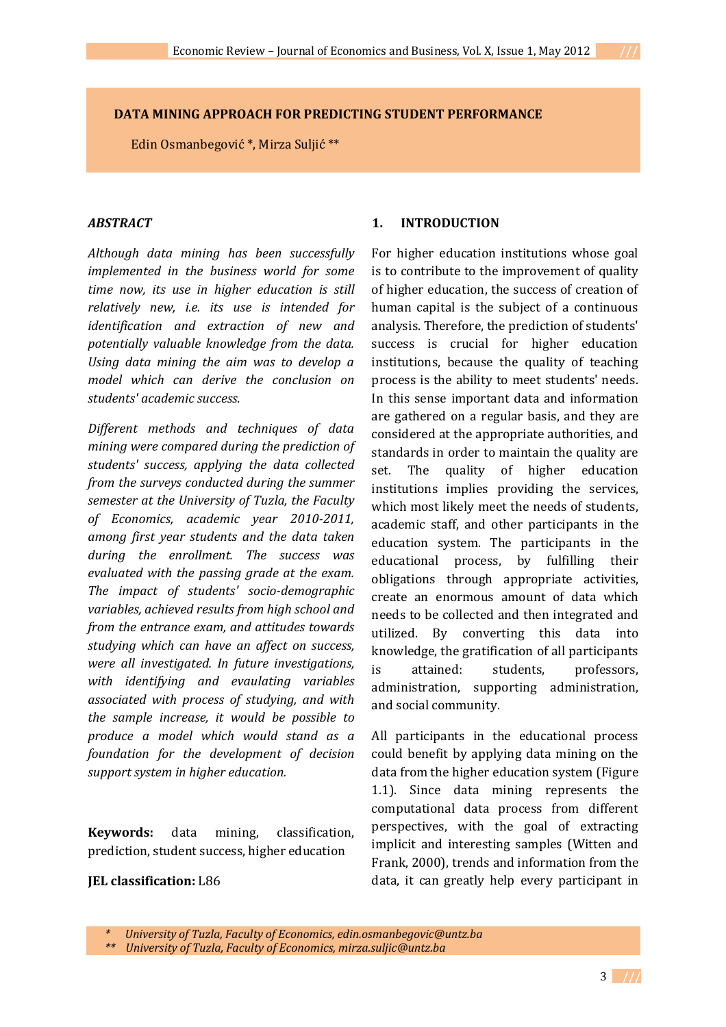## **DATA MINING APPROACH FOR PREDICTING STUDENT PERFORMANCE**

Edin Osmanbegović \*, Mirza Suljić \*\*

## *ABSTRACT*

*Although data mining has been successfully implemented in the business world for some time now, its use in higher education is still relatively new, i.e. its use is intended for identification and extraction of new and potentially valuable knowledge from the data. Using data mining the aim was to develop a model which can derive the conclusion on students' academic success.*

*Different methods and techniques of data mining were compared during the prediction of students' success, applying the data collected from the surveys conducted during the summer semester at the University of Tuzla, the Faculty of Economics, academic year 2010-2011, among first year students and the data taken during the enrollment. The success was evaluated with the passing grade at the exam. The impact of students' socio-demographic variables, achieved results from high school and from the entrance exam, and attitudes towards studying which can have an affect on success, were all investigated. In future investigations, with identifying and evaulating variables associated with process of studying, and with the sample increase, it would be possible to produce a model which would stand as a foundation for the development of decision support system in higher education.*

**Keywords:** data mining, classification, prediction, student success, higher education

#### **JEL classification:** L86

## **1. INTRODUCTION**

For higher education institutions whose goal is to contribute to the improvement of quality of higher education, the success of creation of human capital is the subject of a continuous analysis. Therefore, the prediction of students' success is crucial for higher education institutions, because the quality of teaching process is the ability to meet students' needs. In this sense important data and information are gathered on a regular basis, and they are considered at the appropriate authorities, and standards in order to maintain the quality are set. The quality of higher education institutions implies providing the services, which most likely meet the needs of students, academic staff, and other participants in the education system. The participants in the educational process, by fulfilling their obligations through appropriate activities, create an enormous amount of data which needs to be collected and then integrated and utilized. By converting this data into knowledge, the gratification of all participants is attained: students, professors, administration, supporting administration, and social community.

All participants in the educational process could benefit by applying data mining on the data from the higher education system (Figure 1.1). Since data mining represents the computational data process from different perspectives, with the goal of extracting implicit and interesting samples (Witten and Frank, 2000), trends and information from the data, it can greatly help every participant in

*<sup>\*</sup> University of Tuzla, Faculty of Economics, edin.osmanbegovic@untz.ba*

*<sup>\*\*</sup> University of Tuzla, Faculty of Economics, mirza.suljic@untz.ba*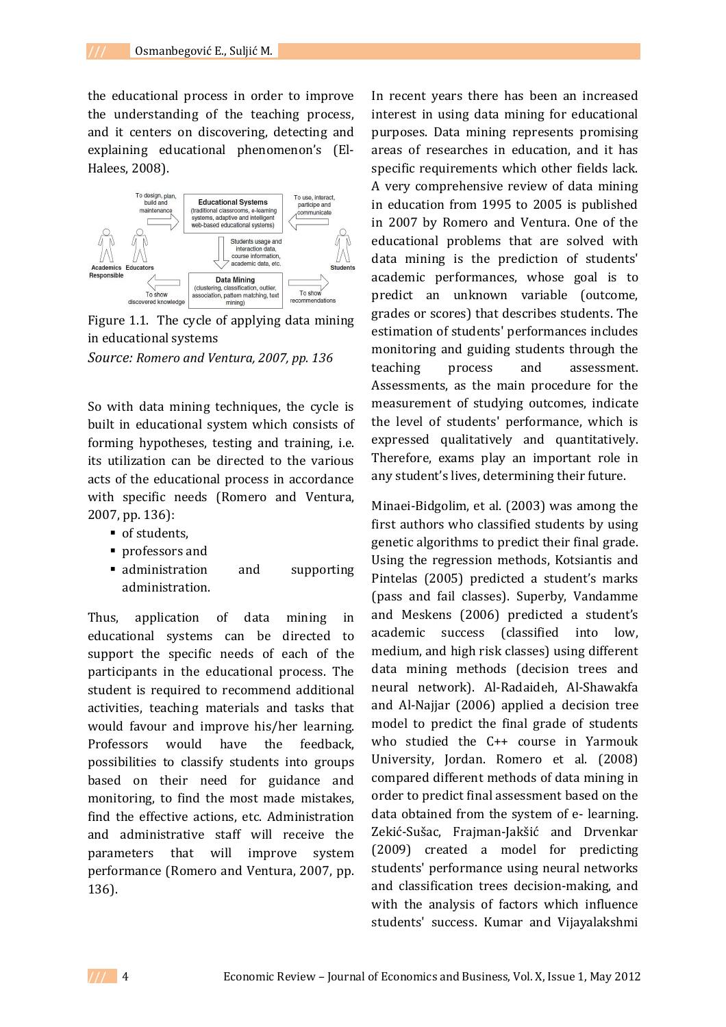the educational process in order to improve the understanding of the teaching process, and it centers on discovering, detecting and explaining educational phenomenon's (El-Halees, 2008).



Figure 1.1. The cycle of applying data mining in educational systems *Source: Romero and Ventura, 2007, pp. 136*

So with data mining techniques, the cycle is built in educational system which consists of forming hypotheses, testing and training, i.e. its utilization can be directed to the various acts of the educational process in accordance with specific needs (Romero and Ventura, 2007, pp. 136):

- of students,
- professors and
- **administration** and supporting administration.

Thus, application of data mining in educational systems can be directed to support the specific needs of each of the participants in the educational process. The student is required to recommend additional activities, teaching materials and tasks that would favour and improve his/her learning. Professors would have the feedback, possibilities to classify students into groups based on their need for guidance and monitoring, to find the most made mistakes, find the effective actions, etc. Administration and administrative staff will receive the parameters that will improve system performance (Romero and Ventura, 2007, pp. 136).

In recent years there has been an increased interest in using data mining for educational purposes. Data mining represents promising areas of researches in education, and it has specific requirements which other fields lack. A very comprehensive review of data mining in education from 1995 to 2005 is published in 2007 by Romero and Ventura. One of the educational problems that are solved with data mining is the prediction of students' academic performances, whose goal is to predict an unknown variable (outcome, grades or scores) that describes students. The estimation of students' performances includes monitoring and guiding students through the teaching process and assessment. Assessments, as the main procedure for the measurement of studying outcomes, indicate the level of students' performance, which is expressed qualitatively and quantitatively. Therefore, exams play an important role in any student's lives, determining their future.

Minaei-Bidgolim, et al. (2003) was among the first authors who classified students by using genetic algorithms to predict their final grade. Using the regression methods, Kotsiantis and Pintelas (2005) predicted a student's marks (pass and fail classes). Superby, Vandamme and Meskens (2006) predicted a student's academic success (classified into low, medium, and high risk classes) using different data mining methods (decision trees and neural network). Al-Radaideh, Al-Shawakfa and Al-Najjar (2006) applied a decision tree model to predict the final grade of students who studied the C++ course in Yarmouk University, Jordan. Romero et al. (2008) compared different methods of data mining in order to predict final assessment based on the data obtained from the system of e- learning. Zekić-Sušac, Frajman-Jakšić and Drvenkar (2009) created a model for predicting students' performance using neural networks and classification trees decision-making, and with the analysis of factors which influence students' success. Kumar and Vijayalakshmi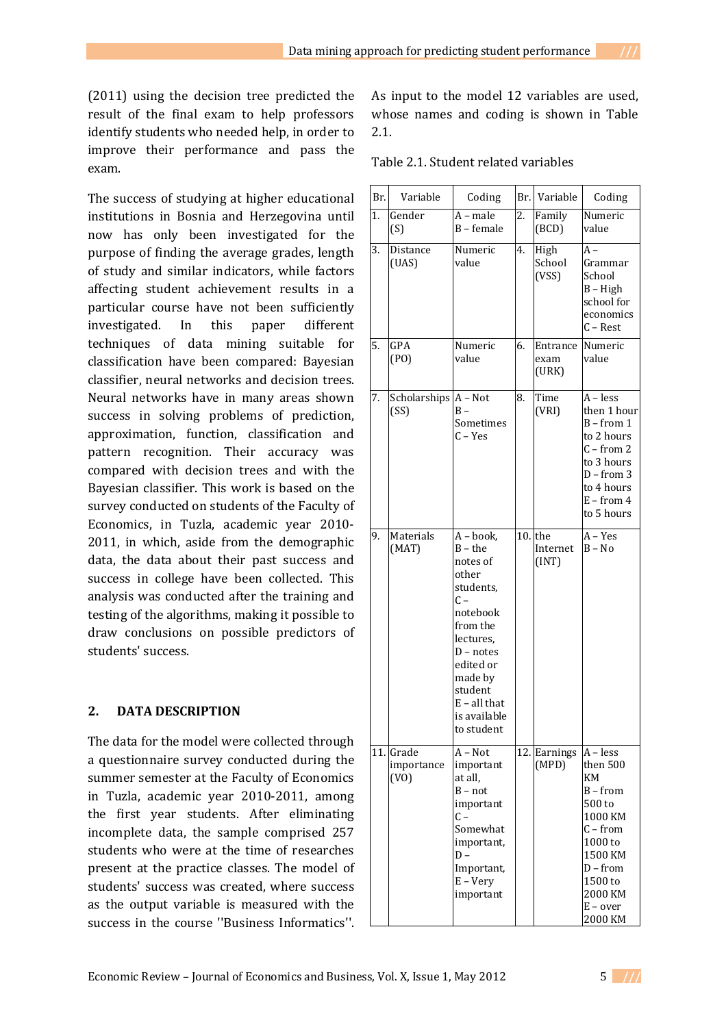The success of studying at higher educational institutions in Bosnia and Herzegovina until now has only been investigated for the purpose of finding the average grades, length of study and similar indicators, while factors affecting student achievement results in a particular course have not been sufficiently investigated. In this paper different techniques of data mining suitable for classification have been compared: Bayesian classifier, neural networks and decision trees. Neural networks have in many areas shown success in solving problems of prediction, approximation, function, classification and pattern recognition. Their accuracy was compared with decision trees and with the Bayesian classifier. This work is based on the survey conducted on students of the Faculty of Economics, in Tuzla, academic year 2010- 2011, in which, aside from the demographic data, the data about their past success and success in college have been collected. This analysis was conducted after the training and testing of the algorithms, making it possible to draw conclusions on possible predictors of students' success.

# **2. DATA DESCRIPTION**

The data for the model were collected through a questionnaire survey conducted during the summer semester at the Faculty of Economics in Tuzla, academic year 2010-2011, among the first year students. After eliminating incomplete data, the sample comprised 257 students who were at the time of researches present at the practice classes. The model of students' success was created, where success as the output variable is measured with the success in the course ''Business Informatics''.

As input to the model 12 variables are used, whose names and coding is shown in Table 2.1.

Table 2.1. Student related variables

| Br. | Variable                        | Coding                                                                                                                                                                                                                |     | Br. Variable              | Coding                                                                                                                                                       |
|-----|---------------------------------|-----------------------------------------------------------------------------------------------------------------------------------------------------------------------------------------------------------------------|-----|---------------------------|--------------------------------------------------------------------------------------------------------------------------------------------------------------|
| 1.  | Gender<br>(S)                   | $A$ – male<br>B - female                                                                                                                                                                                              | 2.  | Family<br>(BCD)           | Numeric<br>value                                                                                                                                             |
| 3.  | Distance<br>(UAS)               | Numeric<br>value                                                                                                                                                                                                      | 4.  | High<br>School<br>(VSS)   | $A -$<br>Grammar<br>School<br>$B - High$<br>school for<br>economics<br>$C - Rest$                                                                            |
| 5.  | GPA<br>(PO)                     | Numeric<br>value                                                                                                                                                                                                      | 6.  | Entrance<br>exam<br>(URK) | Numeric<br>value                                                                                                                                             |
| 7.  | Scholarships $A - Not$<br>(SS)  | $B -$<br>Sometimes<br>$C - Yes$                                                                                                                                                                                       | 8.  | Time<br>(VRI)             | $A - less$<br>then 1 hour<br>$B - from 1$<br>to 2 hours<br>$C$ – from 2<br>to 3 hours<br>$D$ – from 3<br>to 4 hours<br>$E - from 4$<br>to 5 hours            |
| 9.  | Materials<br>(MAT)              | $\overline{A -}$ book,<br>$B$ – the<br>notes of<br>other<br>students,<br>$C -$<br>notebook<br>from the<br>lectures,<br>$D$ – notes<br>edited or<br>made by<br>student<br>$E - all$ that<br>is available<br>to student | 10. | the<br>Internet<br>(INT)  | $A - Yes$<br>$B - No$                                                                                                                                        |
|     | 11. Grade<br>importance<br>(VO) | $A - Not$<br>important<br>at all.<br>$B - not$<br>important<br>C –<br>Somewhat<br>important,<br>D –<br>Important,<br>$E - Very$<br>important                                                                          |     | 12. Earnings<br>(MPD)     | $A - less$<br>then 500<br>KM<br>$B - from$<br>500 to<br>1000 KM<br>$C$ – from<br>1000 to<br>1500 KM<br>D - from<br>1500 to<br>2000 KM<br>E - over<br>2000 KM |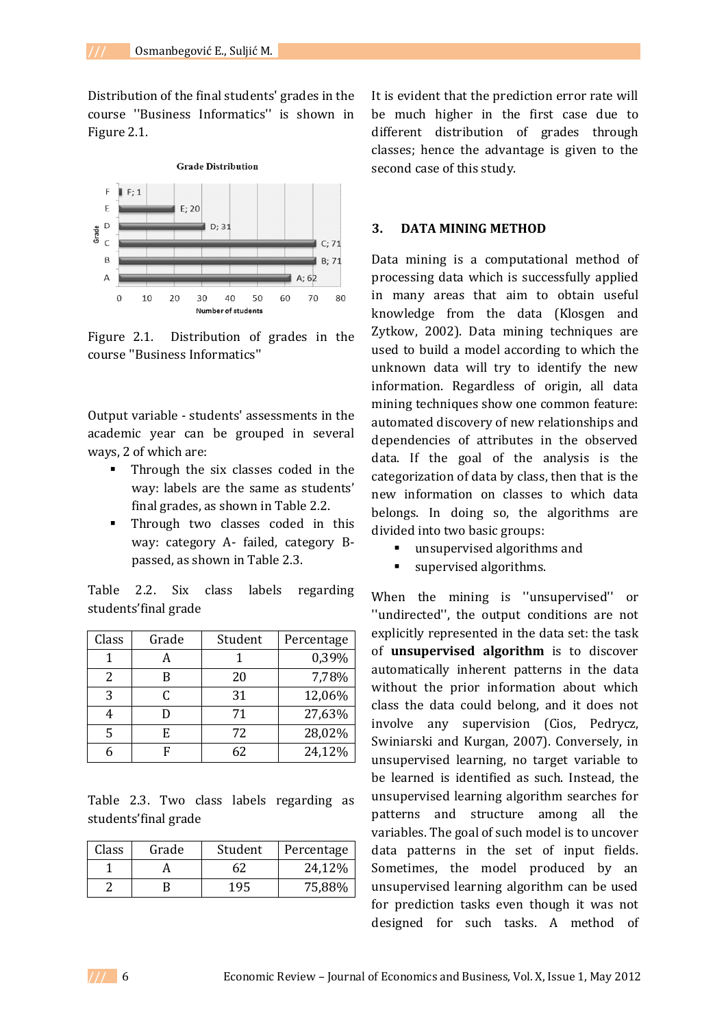Distribution of the final students' grades in the course ''Business Informatics'' is shown in Figure 2.1.



Figure 2.1. Distribution of grades in the course ''Business Informatics''

Output variable - students' assessments in the academic year can be grouped in several ways, 2 of which are:

- Through the six classes coded in the way: labels are the same as students' final grades, as shown in Table 2.2.
- **Through two classes coded in this** way: category A- failed, category Bpassed, as shown in Table 2.3.

Table 2.2. Six class labels regarding students'final grade

| Class | Grade | Student | Percentage |
|-------|-------|---------|------------|
|       |       |         | 0,39%      |
| 2     | B     | 20      | 7,78%      |
| 3     | C     | 31      | 12,06%     |
| 4     | D     | 71      | 27,63%     |
| 5     | E     | 72      | 28,02%     |
|       |       | 62      | 24,12%     |

Table 2.3. Two class labels regarding as students'final grade

| Class | Grade | Student | Percentage |
|-------|-------|---------|------------|
|       |       |         | 24,12%     |
|       |       | 195     | 75,88%     |

It is evident that the prediction error rate will be much higher in the first case due to different distribution of grades through classes; hence the advantage is given to the second case of this study.

#### **3. DATA MINING METHOD**

Data mining is a computational method of processing data which is successfully applied in many areas that aim to obtain useful knowledge from the data (Klosgen and Zytkow, 2002). Data mining techniques are used to build a model according to which the unknown data will try to identify the new information. Regardless of origin, all data mining techniques show one common feature: automated discovery of new relationships and dependencies of attributes in the observed data. If the goal of the analysis is the categorization of data by class, then that is the new information on classes to which data belongs. In doing so, the algorithms are divided into two basic groups:

- unsupervised algorithms and
- supervised algorithms.

When the mining is ''unsupervised'' or ''undirected'', the output conditions are not explicitly represented in the data set: the task of **unsupervised algorithm** is to discover automatically inherent patterns in the data without the prior information about which class the data could belong, and it does not involve any supervision (Cios, Pedrycz, Swiniarski and Kurgan, 2007). Conversely, in unsupervised learning, no target variable to be learned is identified as such. Instead, the unsupervised learning algorithm searches for patterns and structure among all the variables. The goal of such model is to uncover data patterns in the set of input fields. Sometimes, the model produced by an unsupervised learning algorithm can be used for prediction tasks even though it was not designed for such tasks. A method of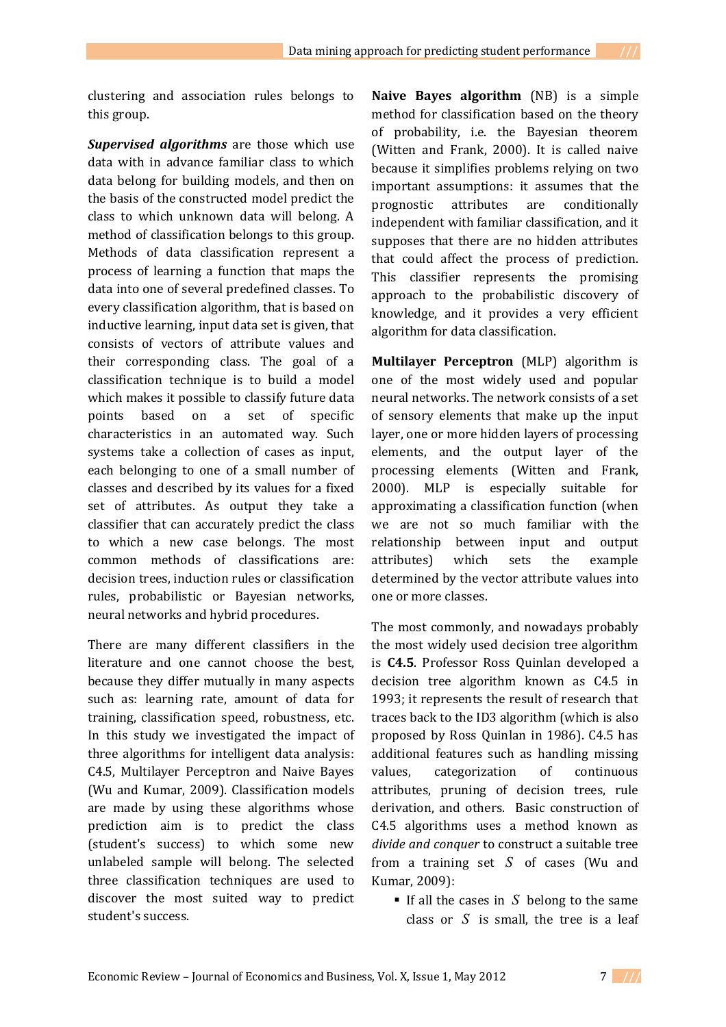clustering and association rules belongs to this group.

*Supervised algorithms* are those which use data with in advance familiar class to which data belong for building models, and then on the basis of the constructed model predict the class to which unknown data will belong. A method of classification belongs to this group. Methods of data classification represent a process of learning a function that maps the data into one of several predefined classes. To every classification algorithm, that is based on inductive learning, input data set is given, that consists of vectors of attribute values and their corresponding class. The goal of a classification technique is to build a model which makes it possible to classify future data points based on a set of specific characteristics in an automated way. Such systems take a collection of cases as input, each belonging to one of a small number of classes and described by its values for a fixed set of attributes. As output they take a classifier that can accurately predict the class to which a new case belongs. The most common methods of classifications are: decision trees, induction rules or classification rules, probabilistic or Bayesian networks, neural networks and hybrid procedures.

There are many different classifiers in the literature and one cannot choose the best, because they differ mutually in many aspects such as: learning rate, amount of data for training, classification speed, robustness, etc. In this study we investigated the impact of three algorithms for intelligent data analysis: C4.5, Multilayer Perceptron and Naive Bayes (Wu and Kumar, 2009). Classification models are made by using these algorithms whose prediction aim is to predict the class (student's success) to which some new unlabeled sample will belong. The selected three classification techniques are used to discover the most suited way to predict student's success.

**Naive Bayes algorithm** (NB) is a simple method for classification based on the theory of probability, i.e. the Bayesian theorem (Witten and Frank, 2000). It is called naive because it simplifies problems relying on two important assumptions: it assumes that the prognostic attributes are conditionally independent with familiar classification, and it supposes that there are no hidden attributes that could affect the process of prediction. This classifier represents the promising approach to the probabilistic discovery of knowledge, and it provides a very efficient algorithm for data classification.

**Multilayer Perceptron** (MLP) algorithm is one of the most widely used and popular neural networks. The network consists of a set of sensory elements that make up the input layer, one or more hidden layers of processing elements, and the output layer of the processing elements (Witten and Frank, 2000). MLP is especially suitable for approximating a classification function (when we are not so much familiar with the relationship between input and output attributes) which sets the example determined by the vector attribute values into one or more classes.

The most commonly, and nowadays probably the most widely used decision tree algorithm is **C4.5**. Professor Ross Quinlan developed a decision tree algorithm known as C4.5 in 1993; it represents the result of research that traces back to the ID3 algorithm (which is also proposed by Ross Quinlan in 1986). C4.5 has additional features such as handling missing values, categorization of continuous attributes, pruning of decision trees, rule derivation, and others. Basic construction of C4.5 algorithms uses a method known as *divide and conquer* to construct a suitable tree from a training set *S* of cases (Wu and Kumar, 2009):

If all the cases in  $S$  belong to the same class or *S* is small, the tree is a leaf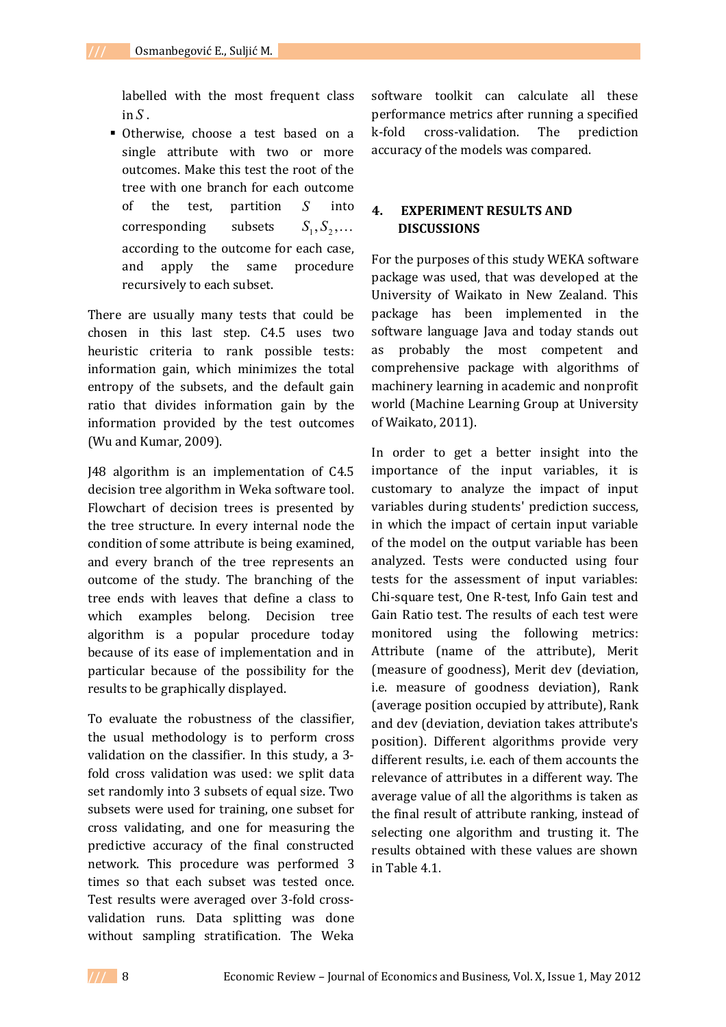labelled with the most frequent class  $in S$ .

 Otherwise, choose a test based on a single attribute with two or more outcomes. Make this test the root of the tree with one branch for each outcome of the test, partition *S* into corresponding subsets  $,S_2,\ldots$ according to the outcome for each case, and apply the same procedure recursively to each subset.

There are usually many tests that could be chosen in this last step. C4.5 uses two heuristic criteria to rank possible tests: information gain, which minimizes the total entropy of the subsets, and the default gain ratio that divides information gain by the information provided by the test outcomes (Wu and Kumar, 2009).

J48 algorithm is an implementation of C4.5 decision tree algorithm in Weka software tool. Flowchart of decision trees is presented by the tree structure. In every internal node the condition of some attribute is being examined, and every branch of the tree represents an outcome of the study. The branching of the tree ends with leaves that define a class to which examples belong. Decision tree algorithm is a popular procedure today because of its ease of implementation and in particular because of the possibility for the results to be graphically displayed.

To evaluate the robustness of the classifier, the usual methodology is to perform cross validation on the classifier. In this study, a 3 fold cross validation was used: we split data set randomly into 3 subsets of equal size. Two subsets were used for training, one subset for cross validating, and one for measuring the predictive accuracy of the final constructed network. This procedure was performed 3 times so that each subset was tested once. Test results were averaged over 3-fold crossvalidation runs. Data splitting was done without sampling stratification. The Weka

software toolkit can calculate all these performance metrics after running a specified k-fold cross-validation. The prediction accuracy of the models was compared.

# **4. EXPERIMENT RESULTS AND DISCUSSIONS**

For the purposes of this study WEKA software package was used, that was developed at the University of Waikato in New Zealand. This package has been implemented in the software language Java and today stands out as probably the most competent and comprehensive package with algorithms of machinery learning in academic and nonprofit world (Machine Learning Group at University of Waikato, 2011).

In order to get a better insight into the importance of the input variables, it is customary to analyze the impact of input variables during students' prediction success, in which the impact of certain input variable of the model on the output variable has been analyzed. Tests were conducted using four tests for the assessment of input variables: Chi-square test, One R-test, Info Gain test and Gain Ratio test. The results of each test were monitored using the following metrics: Attribute (name of the attribute), Merit (measure of goodness), Merit dev (deviation, i.e. measure of goodness deviation), Rank (average position occupied by attribute), Rank and dev (deviation, deviation takes attribute's position). Different algorithms provide very different results, i.e. each of them accounts the relevance of attributes in a different way. The average value of all the algorithms is taken as the final result of attribute ranking, instead of selecting one algorithm and trusting it. The results obtained with these values are shown in Table 4.1.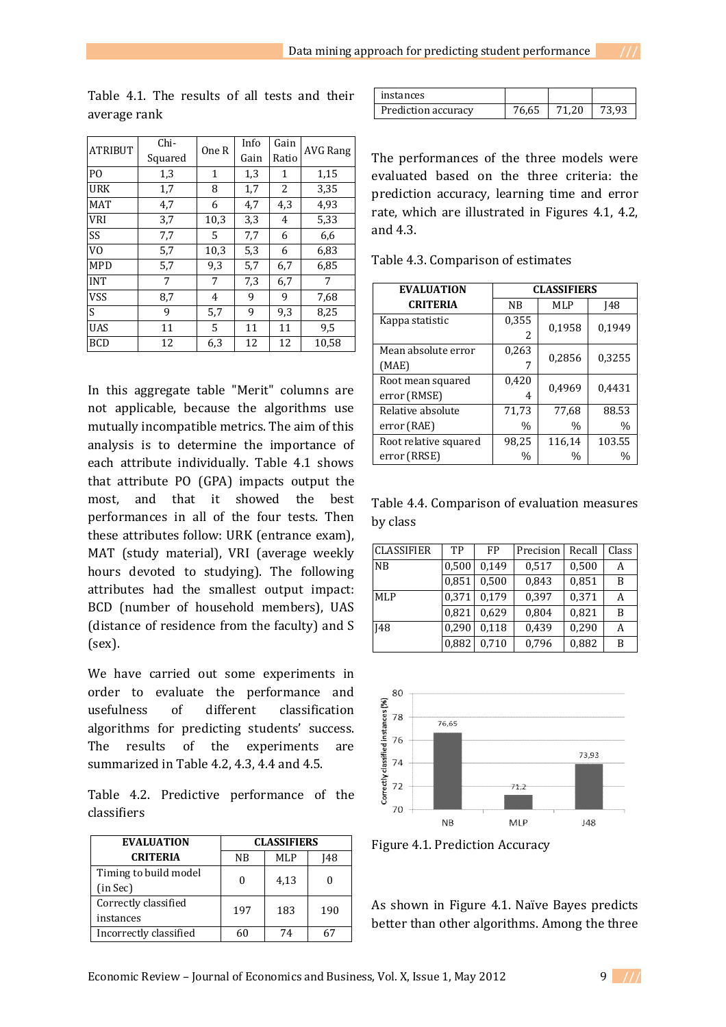| <b>ATRIBUT</b> | Chi-    | One R        | Info | Gain         | <b>AVG Rang</b> |  |
|----------------|---------|--------------|------|--------------|-----------------|--|
|                | Squared |              | Gain | Ratio        |                 |  |
| P <sub>O</sub> | 1,3     | $\mathbf{1}$ | 1,3  | $\mathbf{1}$ | 1,15            |  |
| <b>URK</b>     | 1,7     | 8            | 1,7  | 2            | 3,35            |  |
| <b>MAT</b>     | 4,7     | 6            | 4,7  | 4,3          | 4,93            |  |
| <b>VRI</b>     | 3,7     | 10,3         | 3,3  | 4            | 5,33            |  |
| SS             | 7,7     | 5.           | 7,7  | 6            | 6,6             |  |
| V <sub>0</sub> | 5,7     | 10,3         | 5,3  | 6            | 6,83            |  |
| <b>MPD</b>     | 5,7     | 9.3          | 5,7  | 6,7          | 6,85            |  |
| <b>INT</b>     | 7       | 7            | 7,3  | 6,7          | 7               |  |
| <b>VSS</b>     | 8,7     | 4            | 9    | 9            | 7,68            |  |
| S              | 9       | 5,7          | 9    | 9,3          | 8,25            |  |
| <b>UAS</b>     | 11      | 5            | 11   | 11           | 9,5             |  |
| <b>BCD</b>     | 12      | 6,3          | 12   | 12           | 10,58           |  |

Table 4.1. The results of all tests and their average rank

In this aggregate table "Merit" columns are not applicable, because the algorithms use mutually incompatible metrics. The aim of this analysis is to determine the importance of each attribute individually. Table 4.1 shows that attribute PO (GPA) impacts output the most, and that it showed the best performances in all of the four tests. Then these attributes follow: URK (entrance exam), MAT (study material), VRI (average weekly hours devoted to studying). The following attributes had the smallest output impact: BCD (number of household members), UAS (distance of residence from the faculty) and S (sex).

We have carried out some experiments in order to evaluate the performance and usefulness of different classification algorithms for predicting students' success. The results of the experiments are summarized in Table 4.2, 4.3, 4.4 and 4.5.

Table 4.2. Predictive performance of the classifiers

| <b>EVALUATION</b>      | <b>CLASSIFIERS</b> |      |     |  |
|------------------------|--------------------|------|-----|--|
| <b>CRITERIA</b>        | ΝB                 | MLP  | 148 |  |
| Timing to build model  |                    |      |     |  |
| (in Sec)               |                    | 4,13 |     |  |
| Correctly classified   | 197                | 183  | 190 |  |
| instances              |                    |      |     |  |
| Incorrectly classified |                    | 74   | 67  |  |

| instances           |       |       |       |
|---------------------|-------|-------|-------|
| Prediction accuracy | 76,65 | 71.20 | 73.93 |

The performances of the three models were evaluated based on the three criteria: the prediction accuracy, learning time and error rate, which are illustrated in Figures 4.1, 4.2, and 4.3.

Table 4.3. Comparison of estimates

| <b>EVALUATION</b>                 | <b>CLASSIFIERS</b> |               |               |  |
|-----------------------------------|--------------------|---------------|---------------|--|
| <b>CRITERIA</b>                   | <b>NB</b>          | MLP           | <b>I48</b>    |  |
| Kappa statistic                   | 0,355<br>2         | 0,1958        | 0,1949        |  |
| Mean absolute error<br>(MAE)      | 0,263              | 0,2856        | 0,3255        |  |
| Root mean squared<br>error (RMSE) | 0,420<br>4         | 0,4969        | 0,4431        |  |
| Relative absolute                 | 71,73              | 77,68         | 88.53         |  |
| error (RAE)                       | $\frac{0}{0}$      | $\%$          | $\frac{0}{0}$ |  |
| Root relative squared             | 98,25              | 116,14        | 103.55        |  |
| error (RRSE)                      | $\frac{0}{0}$      | $\frac{0}{0}$ | $\frac{0}{0}$ |  |

Table 4.4. Comparison of evaluation measures by class

| <b>CLASSIFIER</b> | TP    | FP    | Precision | Recall | Class |
|-------------------|-------|-------|-----------|--------|-------|
| NB                | 0,500 | 0.149 | 0,517     | 0,500  | A     |
|                   | 0,851 | 0.500 | 0,843     | 0,851  | B     |
| <b>MLP</b>        | 0,371 | 0.179 | 0,397     | 0,371  | А     |
|                   | 0,821 | 0.629 | 0,804     | 0,821  | B     |
| <b>I48</b>        | 0,290 | 0.118 | 0,439     | 0,290  | А     |
|                   | 0,882 | 0,710 | 0,796     | 0,882  | B     |



Figure 4.1. Prediction Accuracy

As shown in Figure 4.1. Naïve Bayes predicts better than other algorithms. Among the three

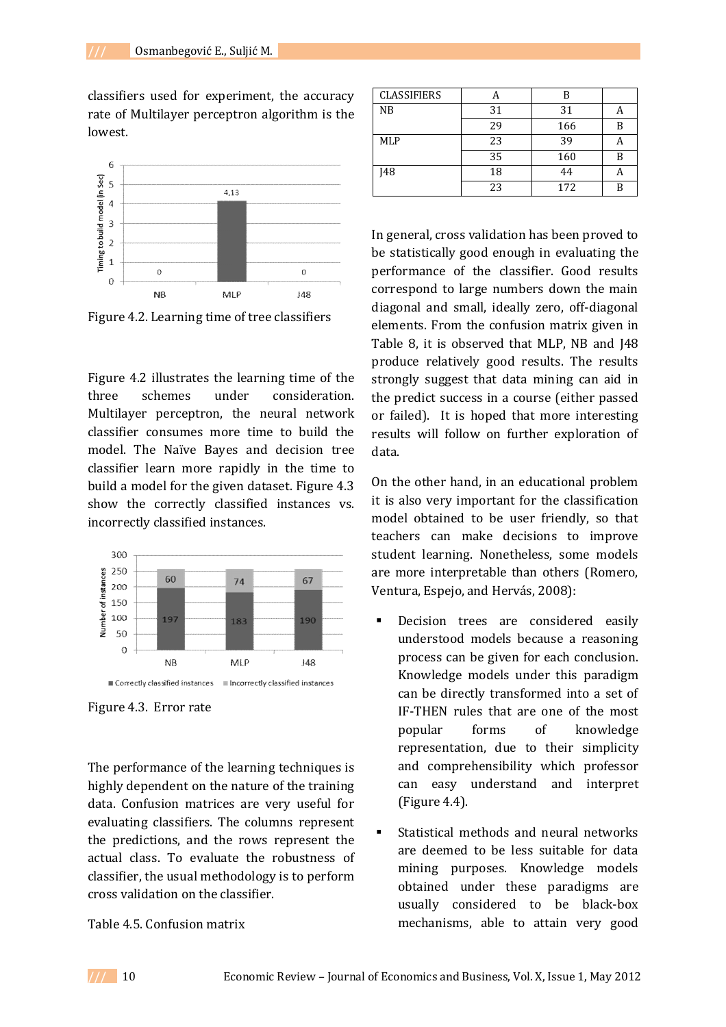classifiers used for experiment, the accuracy rate of Multilayer perceptron algorithm is the lowest.



Figure 4.2. Learning time of tree classifiers

Figure 4.2 illustrates the learning time of the three schemes under consideration. Multilayer perceptron, the neural network classifier consumes more time to build the model. The Naïve Bayes and decision tree classifier learn more rapidly in the time to build a model for the given dataset. Figure 4.3 show the correctly classified instances vs. incorrectly classified instances.



Figure 4.3. Error rate

The performance of the learning techniques is highly dependent on the nature of the training data. Confusion matrices are very useful for evaluating classifiers. The columns represent the predictions, and the rows represent the actual class. To evaluate the robustness of classifier, the usual methodology is to perform cross validation on the classifier.

### Table 4.5. Confusion matrix

| <b>CLASSIFIERS</b> |    | R   |   |
|--------------------|----|-----|---|
| NB                 | 31 | 31  |   |
|                    | 29 | 166 | B |
| <b>MLP</b>         | 23 | 39  |   |
|                    | 35 | 160 | B |
| <b>148</b>         | 18 | 44  |   |
|                    | 23 | 172 |   |

In general, cross validation has been proved to be statistically good enough in evaluating the performance of the classifier. Good results correspond to large numbers down the main diagonal and small, ideally zero, off-diagonal elements. From the confusion matrix given in Table 8, it is observed that MLP, NB and J48 produce relatively good results. The results strongly suggest that data mining can aid in the predict success in a course (either passed or failed). It is hoped that more interesting results will follow on further exploration of data.

On the other hand, in an educational problem it is also very important for the classification model obtained to be user friendly, so that teachers can make decisions to improve student learning. Nonetheless, some models are more interpretable than others (Romero, Ventura, Espejo, and Hervás, 2008):

- Decision trees are considered easily understood models because a reasoning process can be given for each conclusion. Knowledge models under this paradigm can be directly transformed into a set of IF-THEN rules that are one of the most popular forms of knowledge representation, due to their simplicity and comprehensibility which professor can easy understand and interpret (Figure 4.4).
- Statistical methods and neural networks are deemed to be less suitable for data mining purposes. Knowledge models obtained under these paradigms are usually considered to be black-box mechanisms, able to attain very good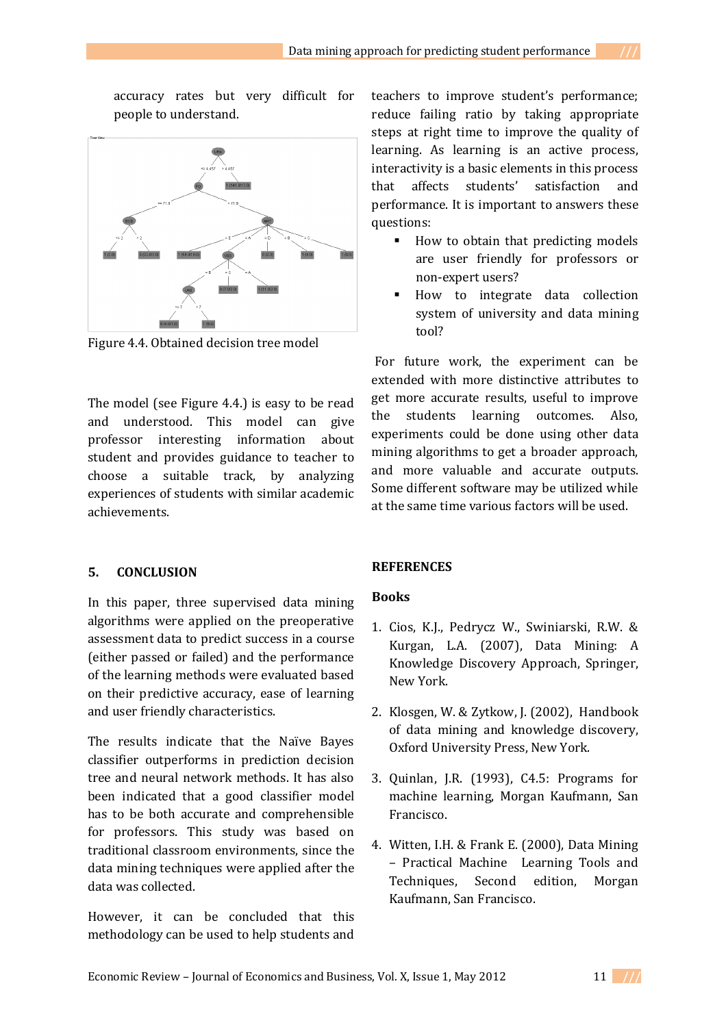accuracy rates but very difficult for people to understand.



Figure 4.4. Obtained decision tree model

The model (see Figure 4.4.) is easy to be read and understood. This model can give professor interesting information about student and provides guidance to teacher to choose a suitable track, by analyzing experiences of students with similar academic achievements.

### **5. CONCLUSION**

In this paper, three supervised data mining algorithms were applied on the preoperative assessment data to predict success in a course (either passed or failed) and the performance of the learning methods were evaluated based on their predictive accuracy, ease of learning and user friendly characteristics.

The results indicate that the Naïve Bayes classifier outperforms in prediction decision tree and neural network methods. It has also been indicated that a good classifier model has to be both accurate and comprehensible for professors. This study was based on traditional classroom environments, since the data mining techniques were applied after the data was collected.

However, it can be concluded that this methodology can be used to help students and

teachers to improve student's performance; reduce failing ratio by taking appropriate steps at right time to improve the quality of learning. As learning is an active process, interactivity is a basic elements in this process that affects students' satisfaction and performance. It is important to answers these questions:

- How to obtain that predicting models are user friendly for professors or non-expert users?
- How to integrate data collection system of university and data mining tool?

For future work, the experiment can be extended with more distinctive attributes to get more accurate results, useful to improve the students learning outcomes. Also, experiments could be done using other data mining algorithms to get a broader approach, and more valuable and accurate outputs. Some different software may be utilized while at the same time various factors will be used.

### **REFERENCES**

#### **Books**

- 1. Cios, K.J., Pedrycz W., Swiniarski, R.W. & Kurgan, L.A. (2007), Data Mining: A Knowledge Discovery Approach, Springer, New York.
- 2. Klosgen, W. & Zytkow, J. (2002), Handbook of data mining and knowledge discovery, Oxford University Press, New York.
- 3. Quinlan, J.R. (1993), C4.5: Programs for machine learning, Morgan Kaufmann, San Francisco.
- 4. Witten, I.H. & Frank E. (2000), Data Mining – Practical Machine Learning Tools and Techniques, Second edition, Morgan Kaufmann, San Francisco.